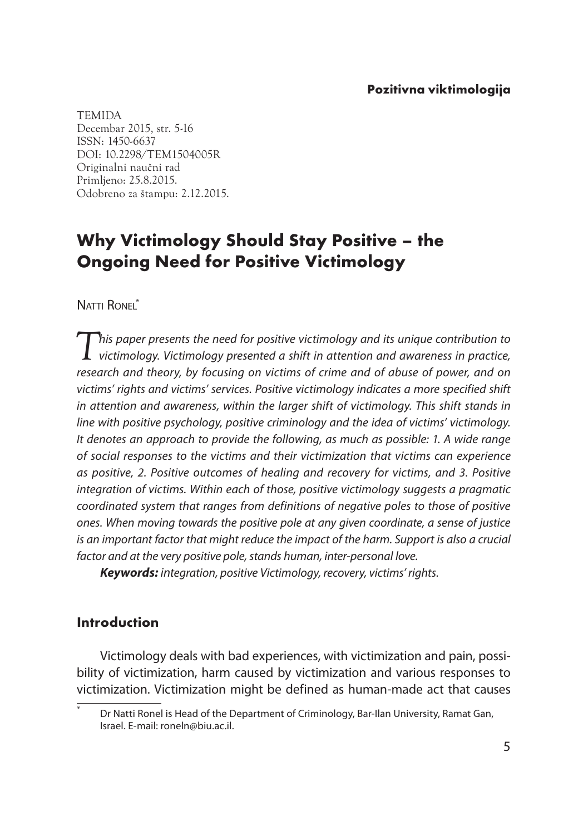#### **Pozitivna viktimologija**

**TEMIDA** Decembar 2015, str. 5-16 ISSN: 1450-6637 DOI: 10.2298/TEM1504005R Originalni naučni rad Primljeno: 25.8.2015. Odobreno za štampu: 2.12.2015.

# **Why Victimology Should Stay Positive – the Ongoing Need for Positive Victimology**

NATTI RONEL\*

*This paper presents the need for positive victimology and its unique contribution to victimology. Victimology presented a shift in attention and awareness in practice, research and theory, by focusing on victims of crime and of abuse of power, and on victims' rights and victims' services. Positive victimology indicates a more specified shift in attention and awareness, within the larger shift of victimology. This shift stands in line with positive psychology, positive criminology and the idea of victims' victimology. It denotes an approach to provide the following, as much as possible: 1. A wide range of social responses to the victims and their victimization that victims can experience as positive, 2. Positive outcomes of healing and recovery for victims, and 3. Positive integration of victims. Within each of those, positive victimology suggests a pragmatic coordinated system that ranges from definitions of negative poles to those of positive ones. When moving towards the positive pole at any given coordinate, a sense of justice is an important factor that might reduce the impact of the harm. Support is also a crucial factor and at the very positive pole, stands human, inter-personal love.* 

*Keywords: integration, positive Victimology, recovery, victims' rights.*

## **Introduction**

Victimology deals with bad experiences, with victimization and pain, possibility of victimization, harm caused by victimization and various responses to victimization. Victimization might be defined as human-made act that causes

Dr Natti Ronel is Head of the Department of Criminology, Bar-Ilan University, Ramat Gan, Israel. E-mail: roneln@biu.ac.il.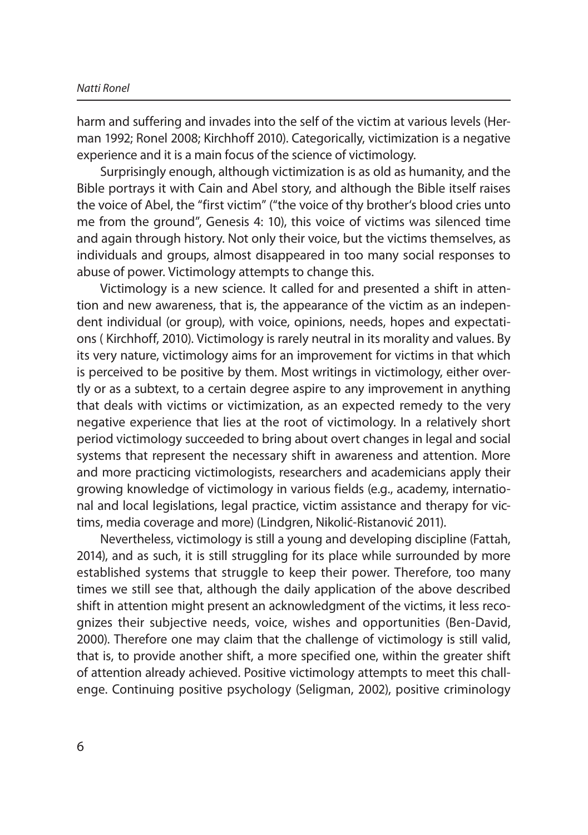harm and suffering and invades into the self of the victim at various levels (Herman 1992; Ronel 2008; Kirchhoff 2010). Categorically, victimization is a negative experience and it is a main focus of the science of victimology.

Surprisingly enough, although victimization is as old as humanity, and the Bible portrays it with Cain and Abel story, and although the Bible itself raises the voice of Abel, the "first victim" ("the voice of thy brother's blood cries unto me from the ground", Genesis 4: 10), this voice of victims was silenced time and again through history. Not only their voice, but the victims themselves, as individuals and groups, almost disappeared in too many social responses to abuse of power. Victimology attempts to change this.

Victimology is a new science. It called for and presented a shift in attention and new awareness, that is, the appearance of the victim as an independent individual (or group), with voice, opinions, needs, hopes and expectations ( Kirchhoff, 2010). Victimology is rarely neutral in its morality and values. By its very nature, victimology aims for an improvement for victims in that which is perceived to be positive by them. Most writings in victimology, either overtly or as a subtext, to a certain degree aspire to any improvement in anything that deals with victims or victimization, as an expected remedy to the very negative experience that lies at the root of victimology. In a relatively short period victimology succeeded to bring about overt changes in legal and social systems that represent the necessary shift in awareness and attention. More and more practicing victimologists, researchers and academicians apply their growing knowledge of victimology in various fields (e.g., academy, international and local legislations, legal practice, victim assistance and therapy for victims, media coverage and more) (Lindgren, Nikolić-Ristanović 2011).

Nevertheless, victimology is still a young and developing discipline (Fattah, 2014), and as such, it is still struggling for its place while surrounded by more established systems that struggle to keep their power. Therefore, too many times we still see that, although the daily application of the above described shift in attention might present an acknowledgment of the victims, it less recognizes their subjective needs, voice, wishes and opportunities (Ben-David, 2000). Therefore one may claim that the challenge of victimology is still valid, that is, to provide another shift, a more specified one, within the greater shift of attention already achieved. Positive victimology attempts to meet this challenge. Continuing positive psychology (Seligman, 2002), positive criminology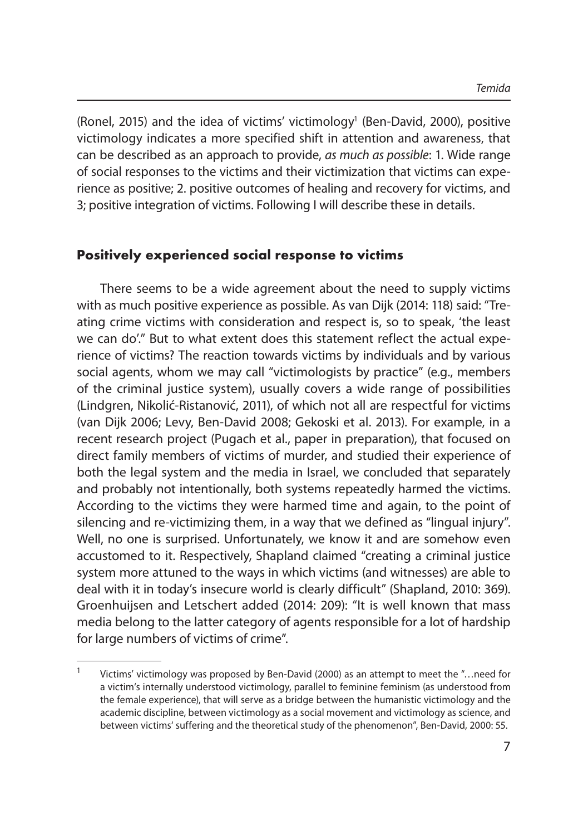(Ronel, 2015) and the idea of victims' victimology<sup>1</sup> (Ben-David, 2000), positive victimology indicates a more specified shift in attention and awareness, that can be described as an approach to provide, *as much as possible*: 1. Wide range of social responses to the victims and their victimization that victims can experience as positive; 2. positive outcomes of healing and recovery for victims, and 3; positive integration of victims. Following I will describe these in details.

## **Positively experienced social response to victims**

There seems to be a wide agreement about the need to supply victims with as much positive experience as possible. As van Dijk (2014: 118) said: "Treating crime victims with consideration and respect is, so to speak, 'the least we can do'." But to what extent does this statement reflect the actual experience of victims? The reaction towards victims by individuals and by various social agents, whom we may call "victimologists by practice" (e.g., members of the criminal justice system), usually covers a wide range of possibilities (Lindgren, Nikolić-Ristanović, 2011), of which not all are respectful for victims (van Dijk 2006; Levy, Ben-David 2008; Gekoski et al. 2013). For example, in a recent research project (Pugach et al., paper in preparation), that focused on direct family members of victims of murder, and studied their experience of both the legal system and the media in Israel, we concluded that separately and probably not intentionally, both systems repeatedly harmed the victims. According to the victims they were harmed time and again, to the point of silencing and re-victimizing them, in a way that we defined as "lingual injury". Well, no one is surprised. Unfortunately, we know it and are somehow even accustomed to it. Respectively, Shapland claimed "creating a criminal justice system more attuned to the ways in which victims (and witnesses) are able to deal with it in today's insecure world is clearly difficult" (Shapland, 2010: 369). Groenhuijsen and Letschert added (2014: 209): "It is well known that mass media belong to the latter category of agents responsible for a lot of hardship for large numbers of victims of crime".

<sup>&</sup>lt;sup>1</sup> Victims' victimology was proposed by Ben-David (2000) as an attempt to meet the "...need for a victim's internally understood victimology, parallel to feminine feminism (as understood from the female experience), that will serve as a bridge between the humanistic victimology and the academic discipline, between victimology as a social movement and victimology as science, and between victims' suffering and the theoretical study of the phenomenon", Ben-David, 2000: 55.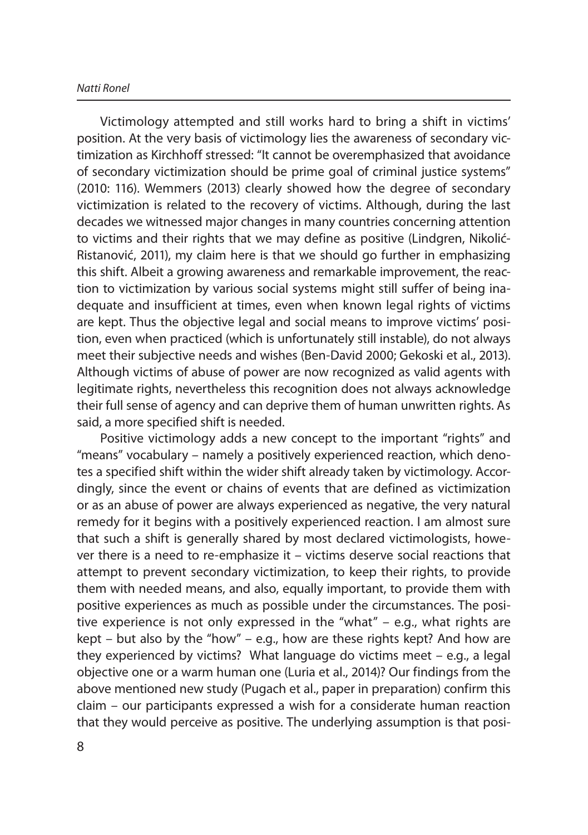#### *Natti Ronel*

Victimology attempted and still works hard to bring a shift in victims' position. At the very basis of victimology lies the awareness of secondary victimization as Kirchhoff stressed: "It cannot be overemphasized that avoidance of secondary victimization should be prime goal of criminal justice systems" (2010: 116). Wemmers (2013) clearly showed how the degree of secondary victimization is related to the recovery of victims. Although, during the last decades we witnessed major changes in many countries concerning attention to victims and their rights that we may define as positive (Lindgren, Nikolić-Ristanović, 2011), my claim here is that we should go further in emphasizing this shift. Albeit a growing awareness and remarkable improvement, the reaction to victimization by various social systems might still suffer of being inadequate and insufficient at times, even when known legal rights of victims are kept. Thus the objective legal and social means to improve victims' position, even when practiced (which is unfortunately still instable), do not always meet their subjective needs and wishes (Ben-David 2000; Gekoski et al., 2013). Although victims of abuse of power are now recognized as valid agents with legitimate rights, nevertheless this recognition does not always acknowledge their full sense of agency and can deprive them of human unwritten rights. As said, a more specified shift is needed.

Positive victimology adds a new concept to the important "rights" and "means" vocabulary – namely a positively experienced reaction, which denotes a specified shift within the wider shift already taken by victimology. Accordingly, since the event or chains of events that are defined as victimization or as an abuse of power are always experienced as negative, the very natural remedy for it begins with a positively experienced reaction. I am almost sure that such a shift is generally shared by most declared victimologists, however there is a need to re-emphasize it – victims deserve social reactions that attempt to prevent secondary victimization, to keep their rights, to provide them with needed means, and also, equally important, to provide them with positive experiences as much as possible under the circumstances. The positive experience is not only expressed in the "what" – e.g., what rights are kept – but also by the "how" – e.g., how are these rights kept? And how are they experienced by victims? What language do victims meet – e.g., a legal objective one or a warm human one (Luria et al., 2014)? Our findings from the above mentioned new study (Pugach et al., paper in preparation) confirm this claim – our participants expressed a wish for a considerate human reaction that they would perceive as positive. The underlying assumption is that posi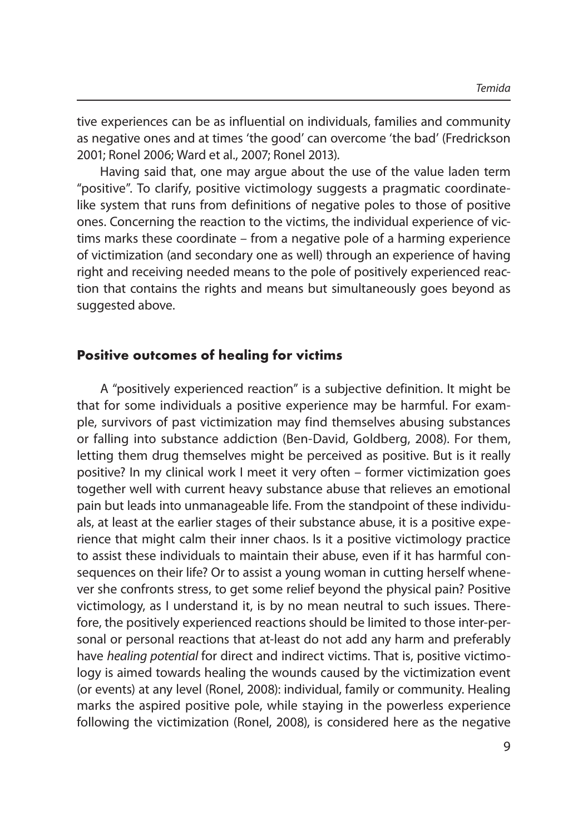tive experiences can be as influential on individuals, families and community as negative ones and at times 'the good' can overcome 'the bad' (Fredrickson 2001; Ronel 2006; Ward et al., 2007; Ronel 2013).

Having said that, one may argue about the use of the value laden term "positive". To clarify, positive victimology suggests a pragmatic coordinatelike system that runs from definitions of negative poles to those of positive ones. Concerning the reaction to the victims, the individual experience of victims marks these coordinate – from a negative pole of a harming experience of victimization (and secondary one as well) through an experience of having right and receiving needed means to the pole of positively experienced reaction that contains the rights and means but simultaneously goes beyond as suggested above.

## **Positive outcomes of healing for victims**

A "positively experienced reaction" is a subjective definition. It might be that for some individuals a positive experience may be harmful. For example, survivors of past victimization may find themselves abusing substances or falling into substance addiction (Ben-David, Goldberg, 2008). For them, letting them drug themselves might be perceived as positive. But is it really positive? In my clinical work I meet it very often – former victimization goes together well with current heavy substance abuse that relieves an emotional pain but leads into unmanageable life. From the standpoint of these individuals, at least at the earlier stages of their substance abuse, it is a positive experience that might calm their inner chaos. Is it a positive victimology practice to assist these individuals to maintain their abuse, even if it has harmful consequences on their life? Or to assist a young woman in cutting herself whenever she confronts stress, to get some relief beyond the physical pain? Positive victimology, as I understand it, is by no mean neutral to such issues. Therefore, the positively experienced reactions should be limited to those inter-personal or personal reactions that at-least do not add any harm and preferably have *healing potential* for direct and indirect victims. That is, positive victimology is aimed towards healing the wounds caused by the victimization event (or events) at any level (Ronel, 2008): individual, family or community. Healing marks the aspired positive pole, while staying in the powerless experience following the victimization (Ronel, 2008), is considered here as the negative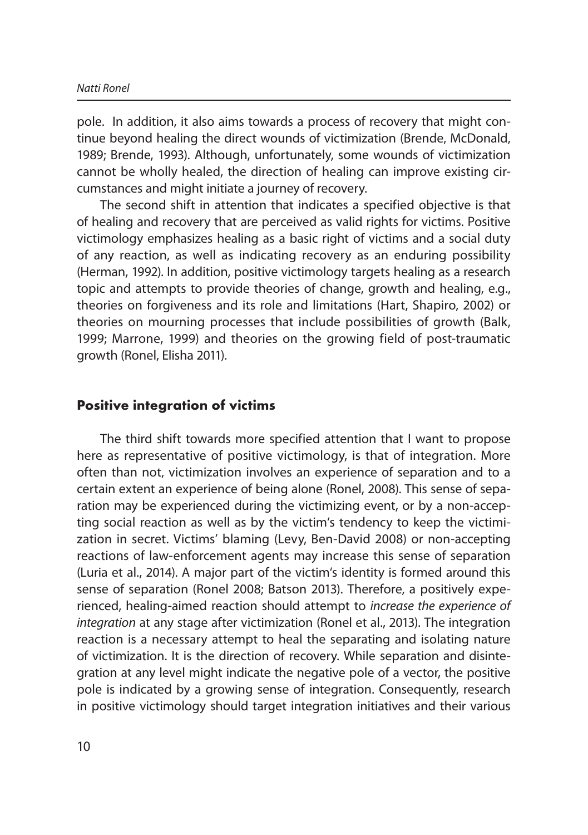pole. In addition, it also aims towards a process of recovery that might continue beyond healing the direct wounds of victimization (Brende, McDonald, 1989; Brende, 1993). Although, unfortunately, some wounds of victimization cannot be wholly healed, the direction of healing can improve existing circumstances and might initiate a journey of recovery.

The second shift in attention that indicates a specified objective is that of healing and recovery that are perceived as valid rights for victims. Positive victimology emphasizes healing as a basic right of victims and a social duty of any reaction, as well as indicating recovery as an enduring possibility (Herman, 1992). In addition, positive victimology targets healing as a research topic and attempts to provide theories of change, growth and healing, e.g., theories on forgiveness and its role and limitations (Hart, Shapiro, 2002) or theories on mourning processes that include possibilities of growth (Balk, 1999; Marrone, 1999) and theories on the growing field of post-traumatic growth (Ronel, Elisha 2011).

#### **Positive integration of victims**

The third shift towards more specified attention that I want to propose here as representative of positive victimology, is that of integration. More often than not, victimization involves an experience of separation and to a certain extent an experience of being alone (Ronel, 2008). This sense of separation may be experienced during the victimizing event, or by a non-accepting social reaction as well as by the victim's tendency to keep the victimization in secret. Victims' blaming (Levy, Ben-David 2008) or non-accepting reactions of law-enforcement agents may increase this sense of separation (Luria et al., 2014). A major part of the victim's identity is formed around this sense of separation (Ronel 2008; Batson 2013). Therefore, a positively experienced, healing-aimed reaction should attempt to *increase the experience of integration* at any stage after victimization (Ronel et al., 2013). The integration reaction is a necessary attempt to heal the separating and isolating nature of victimization. It is the direction of recovery. While separation and disintegration at any level might indicate the negative pole of a vector, the positive pole is indicated by a growing sense of integration. Consequently, research in positive victimology should target integration initiatives and their various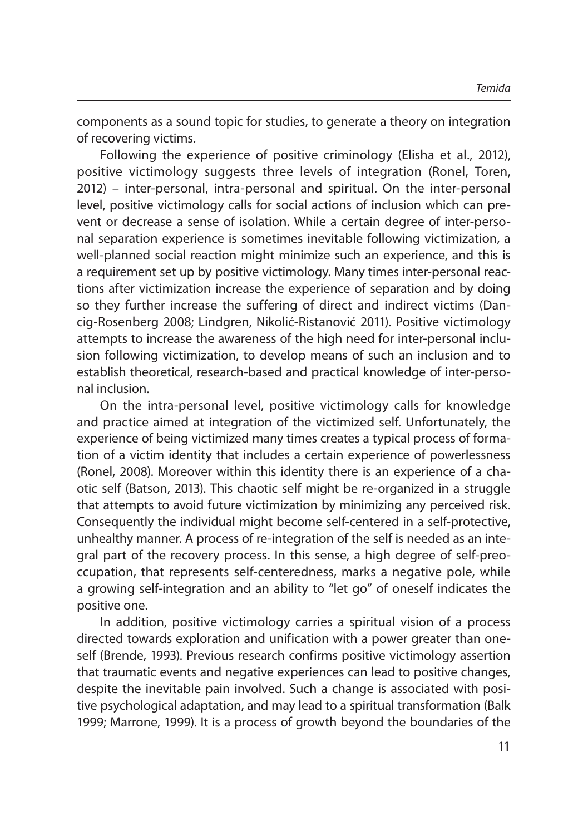components as a sound topic for studies, to generate a theory on integration of recovering victims.

Following the experience of positive criminology (Elisha et al., 2012), positive victimology suggests three levels of integration (Ronel, Toren, 2012) – inter-personal, intra-personal and spiritual. On the inter-personal level, positive victimology calls for social actions of inclusion which can prevent or decrease a sense of isolation. While a certain degree of inter-personal separation experience is sometimes inevitable following victimization, a well-planned social reaction might minimize such an experience, and this is a requirement set up by positive victimology. Many times inter-personal reactions after victimization increase the experience of separation and by doing so they further increase the suffering of direct and indirect victims (Dancig-Rosenberg 2008; Lindgren, Nikolić-Ristanović 2011). Positive victimology attempts to increase the awareness of the high need for inter-personal inclusion following victimization, to develop means of such an inclusion and to establish theoretical, research-based and practical knowledge of inter-personal inclusion.

On the intra-personal level, positive victimology calls for knowledge and practice aimed at integration of the victimized self. Unfortunately, the experience of being victimized many times creates a typical process of formation of a victim identity that includes a certain experience of powerlessness (Ronel, 2008). Moreover within this identity there is an experience of a chaotic self (Batson, 2013). This chaotic self might be re-organized in a struggle that attempts to avoid future victimization by minimizing any perceived risk. Consequently the individual might become self-centered in a self-protective, unhealthy manner. A process of re-integration of the self is needed as an integral part of the recovery process. In this sense, a high degree of self-preoccupation, that represents self-centeredness, marks a negative pole, while a growing self-integration and an ability to "let go" of oneself indicates the positive one.

In addition, positive victimology carries a spiritual vision of a process directed towards exploration and unification with a power greater than oneself (Brende, 1993). Previous research confirms positive victimology assertion that traumatic events and negative experiences can lead to positive changes, despite the inevitable pain involved. Such a change is associated with positive psychological adaptation, and may lead to a spiritual transformation (Balk 1999; Marrone, 1999). It is a process of growth beyond the boundaries of the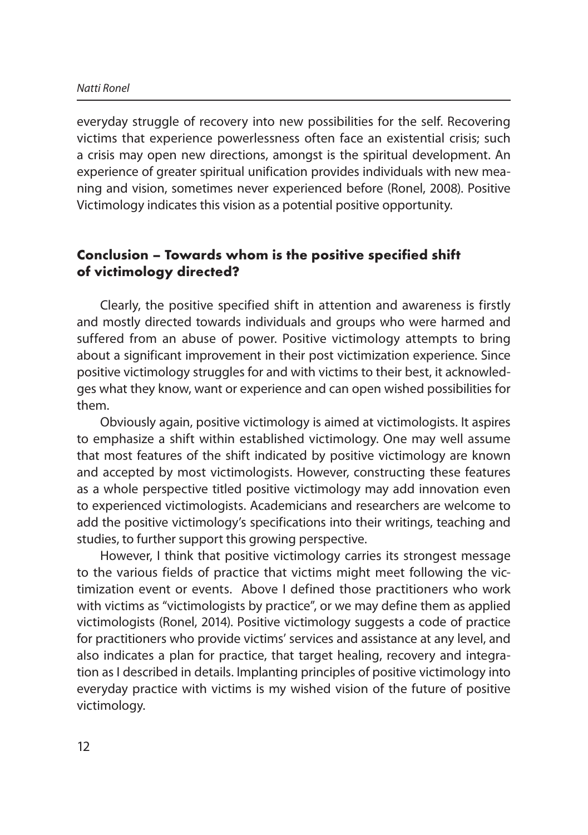everyday struggle of recovery into new possibilities for the self. Recovering victims that experience powerlessness often face an existential crisis; such a crisis may open new directions, amongst is the spiritual development. An experience of greater spiritual unification provides individuals with new meaning and vision, sometimes never experienced before (Ronel, 2008). Positive Victimology indicates this vision as a potential positive opportunity.

## **Conclusion – Towards whom is the positive specified shift of victimology directed?**

Clearly, the positive specified shift in attention and awareness is firstly and mostly directed towards individuals and groups who were harmed and suffered from an abuse of power. Positive victimology attempts to bring about a significant improvement in their post victimization experience. Since positive victimology struggles for and with victims to their best, it acknowledges what they know, want or experience and can open wished possibilities for them.

Obviously again, positive victimology is aimed at victimologists. It aspires to emphasize a shift within established victimology. One may well assume that most features of the shift indicated by positive victimology are known and accepted by most victimologists. However, constructing these features as a whole perspective titled positive victimology may add innovation even to experienced victimologists. Academicians and researchers are welcome to add the positive victimology's specifications into their writings, teaching and studies, to further support this growing perspective.

However, I think that positive victimology carries its strongest message to the various fields of practice that victims might meet following the victimization event or events. Above I defined those practitioners who work with victims as "victimologists by practice", or we may define them as applied victimologists (Ronel, 2014). Positive victimology suggests a code of practice for practitioners who provide victims' services and assistance at any level, and also indicates a plan for practice, that target healing, recovery and integration as I described in details. Implanting principles of positive victimology into everyday practice with victims is my wished vision of the future of positive victimology.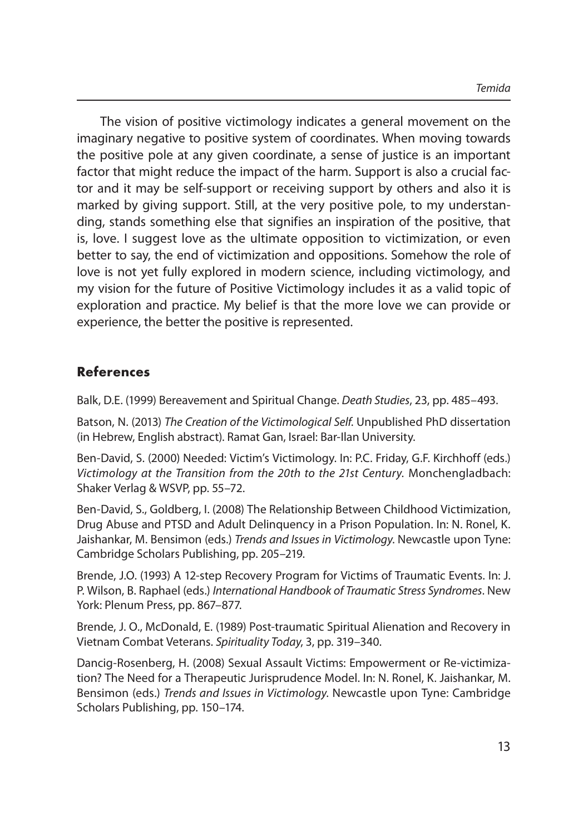The vision of positive victimology indicates a general movement on the imaginary negative to positive system of coordinates. When moving towards the positive pole at any given coordinate, a sense of justice is an important factor that might reduce the impact of the harm. Support is also a crucial factor and it may be self-support or receiving support by others and also it is marked by giving support. Still, at the very positive pole, to my understanding, stands something else that signifies an inspiration of the positive, that is, love. I suggest love as the ultimate opposition to victimization, or even better to say, the end of victimization and oppositions. Somehow the role of love is not yet fully explored in modern science, including victimology, and my vision for the future of Positive Victimology includes it as a valid topic of exploration and practice. My belief is that the more love we can provide or experience, the better the positive is represented.

# **References**

Balk, D.E. (1999) Bereavement and Spiritual Change. *Death Studies*, 23, pp. 485–493.

Batson, N. (2013) *The Creation of the Victimological Self*. Unpublished PhD dissertation (in Hebrew, English abstract). Ramat Gan, Israel: Bar-Ilan University.

Ben-David, S. (2000) Needed: Victim's Victimology. In: P.C. Friday, G.F. Kirchhoff (eds.) *Victimology at the Transition from the 20th to the 21st Century*. Monchengladbach: Shaker Verlag & WSVP, pp. 55–72.

Ben-David, S., Goldberg, I. (2008) The Relationship Between Childhood Victimization, Drug Abuse and PTSD and Adult Delinquency in a Prison Population. In: N. Ronel, K. Jaishankar, M. Bensimon (eds.) *Trends and Issues in Victimology*. Newcastle upon Tyne: Cambridge Scholars Publishing, pp. 205–219.

Brende, J.O. (1993) A 12-step Recovery Program for Victims of Traumatic Events. In: J. P. Wilson, B. Raphael (eds.) *International Handbook of Traumatic Stress Syndromes*. New York: Plenum Press, pp. 867–877.

Brende, J. O., McDonald, E. (1989) Post-traumatic Spiritual Alienation and Recovery in Vietnam Combat Veterans. *Spirituality Today*, 3, pp. 319–340.

Dancig-Rosenberg, H. (2008) Sexual Assault Victims: Empowerment or Re-victimization? The Need for a Therapeutic Jurisprudence Model. In: N. Ronel, K. Jaishankar, M. Bensimon (eds.) *Trends and Issues in Victimology*. Newcastle upon Tyne: Cambridge Scholars Publishing, pp. 150–174.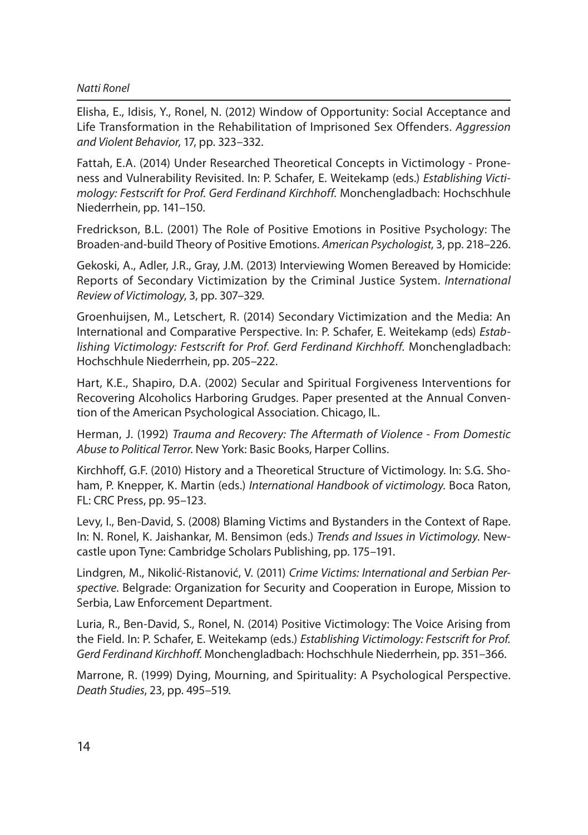#### *Natti Ronel*

Elisha, E., Idisis, Y., Ronel, N. (2012) Window of Opportunity: Social Acceptance and Life Transformation in the Rehabilitation of Imprisoned Sex Offenders. *Aggression and Violent Behavior*, 17, pp. 323–332.

Fattah, E.A. (2014) Under Researched Theoretical Concepts in Victimology - Proneness and Vulnerability Revisited. In: P. Schafer, E. Weitekamp (eds.) *Establishing Victimology: Festscrift for Prof. Gerd Ferdinand Kirchhoff*. Monchengladbach: Hochschhule Niederrhein, pp. 141–150.

Fredrickson, B.L. (2001) The Role of Positive Emotions in Positive Psychology: The Broaden-and-build Theory of Positive Emotions. *American Psychologist*, 3, pp. 218–226.

Gekoski, A., Adler, J.R., Gray, J.M. (2013) Interviewing Women Bereaved by Homicide: Reports of Secondary Victimization by the Criminal Justice System. *International Review of Victimology*, 3, pp. 307–329.

Groenhuijsen, M., Letschert, R. (2014) Secondary Victimization and the Media: An International and Comparative Perspective. In: P. Schafer, E. Weitekamp (eds) *Establishing Victimology: Festscrift for Prof. Gerd Ferdinand Kirchhoff*. Monchengladbach: Hochschhule Niederrhein, pp. 205–222.

Hart, K.E., Shapiro, D.A. (2002) Secular and Spiritual Forgiveness Interventions for Recovering Alcoholics Harboring Grudges. Paper presented at the Annual Convention of the American Psychological Association. Chicago, IL.

Herman, J. (1992) *Trauma and Recovery: The Aftermath of Violence - From Domestic Abuse to Political Terror*. New York: Basic Books, Harper Collins.

Kirchhoff, G.F. (2010) History and a Theoretical Structure of Victimology. In: S.G. Shoham, P. Knepper, K. Martin (eds.) *International Handbook of victimology*. Boca Raton, FL: CRC Press, pp. 95–123.

Levy, I., Ben-David, S. (2008) Blaming Victims and Bystanders in the Context of Rape. In: N. Ronel, K. Jaishankar, M. Bensimon (eds.) *Trends and Issues in Victimology*. Newcastle upon Tyne: Cambridge Scholars Publishing, pp. 175–191.

Lindgren, M., Nikolić-Ristanović, V. (2011) *Crime Victims: International and Serbian Perspective*. Belgrade: Organization for Security and Cooperation in Europe, Mission to Serbia, Law Enforcement Department.

Luria, R., Ben-David, S., Ronel, N. (2014) Positive Victimology: The Voice Arising from the Field. In: P. Schafer, E. Weitekamp (eds.) *Establishing Victimology: Festscrift for Prof. Gerd Ferdinand Kirchhoff*. Monchengladbach: Hochschhule Niederrhein, pp. 351–366.

Marrone, R. (1999) Dying, Mourning, and Spirituality: A Psychological Perspective. *Death Studies*, 23, pp. 495–519.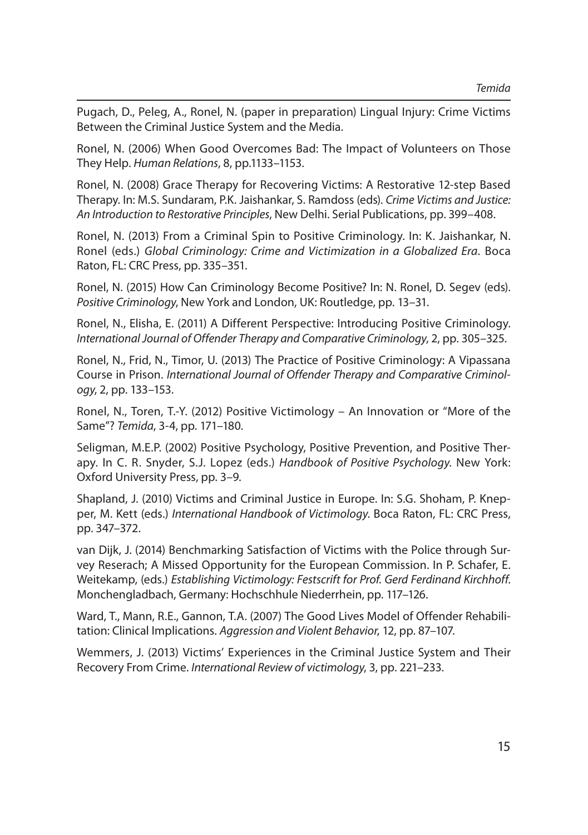Pugach, D., Peleg, A., Ronel, N. (paper in preparation) Lingual Injury: Crime Victims Between the Criminal Justice System and the Media.

Ronel, N. (2006) When Good Overcomes Bad: The Impact of Volunteers on Those They Help. *Human Relations*, 8, pp.1133–1153.

Ronel, N. (2008) Grace Therapy for Recovering Victims: A Restorative 12-step Based Therapy. In: M.S. Sundaram, P.K. Jaishankar, S. Ramdoss (eds). *Crime Victims and Justice: An Introduction to Restorative Principles*, New Delhi. Serial Publications, pp. 399–408.

Ronel, N. (2013) From a Criminal Spin to Positive Criminology. In: K. Jaishankar, N. Ronel (eds.) *Global Criminology: Crime and Victimization in a Globalized Era*. Boca Raton, FL: CRC Press, pp. 335–351.

Ronel, N. (2015) How Can Criminology Become Positive? In: N. Ronel, D. Segev (eds). *Positive Criminology*, New York and London, UK: Routledge, pp. 13–31.

Ronel, N., Elisha, E. (2011) A Different Perspective: Introducing Positive Criminology. *International Journal of Offender Therapy and Comparative Criminology*, 2, pp. 305–325.

Ronel, N., Frid, N., Timor, U. (2013) The Practice of Positive Criminology: A Vipassana Course in Prison. *International Journal of Offender Therapy and Comparative Criminology*, 2, pp. 133–153.

Ronel, N., Toren, T.-Y. (2012) Positive Victimology – An Innovation or "More of the Same"? *Temida*, 3-4, pp. 171–180.

Seligman, M.E.P. (2002) Positive Psychology, Positive Prevention, and Positive Therapy. In C. R. Snyder, S.J. Lopez (eds.) *Handbook of Positive Psychology*. New York: Oxford University Press, pp. 3–9.

Shapland, J. (2010) Victims and Criminal Justice in Europe. In: S.G. Shoham, P. Knepper, M. Kett (eds.) *International Handbook of Victimology*. Boca Raton, FL: CRC Press, pp. 347–372.

van Dijk, J. (2014) Benchmarking Satisfaction of Victims with the Police through Survey Reserach; A Missed Opportunity for the European Commission. In P. Schafer, E. Weitekamp, (eds.) *Establishing Victimology: Festscrift for Prof. Gerd Ferdinand Kirchhoff*. Monchengladbach, Germany: Hochschhule Niederrhein, pp. 117–126.

Ward, T., Mann, R.E., Gannon, T.A. (2007) The Good Lives Model of Offender Rehabilitation: Clinical Implications. *Aggression and Violent Behavior*, 12, pp. 87–107.

Wemmers, J. (2013) Victims' Experiences in the Criminal Justice System and Their Recovery From Crime. *International Review of victimology*, 3, pp. 221–233.